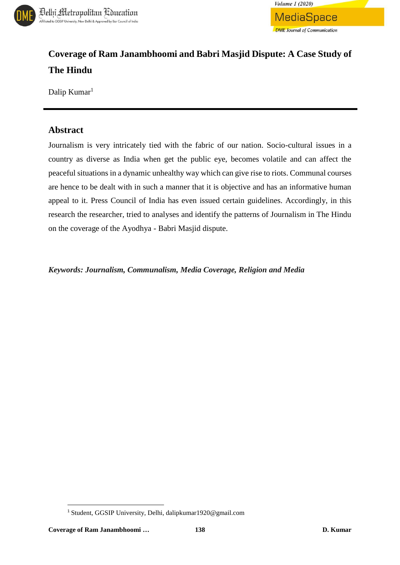



# **Coverage of Ram Janambhoomi and Babri Masjid Dispute: A Case Study of The Hindu**

Dalip Kumar<sup>1</sup>

### **Abstract**

Journalism is very intricately tied with the fabric of our nation. Socio-cultural issues in a country as diverse as India when get the public eye, becomes volatile and can affect the peaceful situations in a dynamic unhealthy way which can give rise to riots. Communal courses are hence to be dealt with in such a manner that it is objective and has an informative human appeal to it. Press Council of India has even issued certain guidelines. Accordingly, in this research the researcher, tried to analyses and identify the patterns of Journalism in The Hindu on the coverage of the Ayodhya - Babri Masjid dispute.

*Keywords: Journalism, Communalism, Media Coverage, Religion and Media*

 $\overline{\phantom{a}}$ 

<sup>1</sup> Student, GGSIP University, Delhi, dalipkumar1920@gmail.com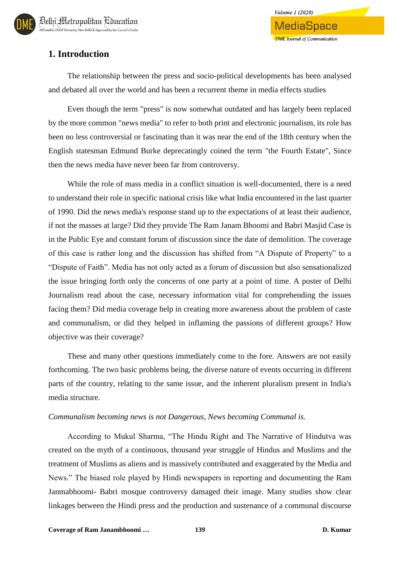

# **1. Introduction**

The relationship between the press and socio-political developments has been analysed and debated all over the world and has been a recurrent theme in media effects studies

Even though the term "press" is now somewhat outdated and has largely been replaced by the more common "news media" to refer to both print and electronic journalism, its role has been no less controversial or fascinating than it was near the end of the 18th century when the English statesman Edmund Burke deprecatingly coined the term "the Fourth Estate", Since then the news media have never been far from controversy.

While the role of mass media in a conflict situation is well-documented, there is a need to understand their role in specific national crisis like what India encountered in the last quarter of 1990. Did the news media's response stand up to the expectations of at least their audience, if not the masses at large? Did they provide The Ram Janam Bhoomi and Babri Masjid Case is in the Public Eye and constant forum of discussion since the date of demolition. The coverage of this case is rather long and the discussion has shifted from "A Dispute of Property" to a "Dispute of Faith". Media has not only acted as a forum of discussion but also sensationalized the issue bringing forth only the concerns of one party at a point of time. A poster of Delhi Journalism read about the case, necessary information vital for comprehending the issues facing them? Did media coverage help in creating more awareness about the problem of caste and communalism, or did they helped in inflaming the passions of different groups? How objective was their coverage?

These and many other questions immediately come to the fore. Answers are not easily forthcoming. The two basic problems being, the diverse nature of events occurring in different parts of the country, relating to the same issue, and the inherent pluralism present in India's media structure.

#### *Communalism becoming news is not Dangerous, News becoming Communal is.*

According to Mukul Sharma, "The Hindu Right and The Narrative of Hindutva was created on the myth of a continuous, thousand year struggle of Hindus and Muslims and the treatment of Muslims as aliens and is massively contributed and exaggerated by the Media and News." The biased role played by Hindi newspapers in reporting and documenting the Ram Janmabhoomi- Babri mosque controversy damaged their image. Many studies show clear linkages between the Hindi press and the production and sustenance of a communal discourse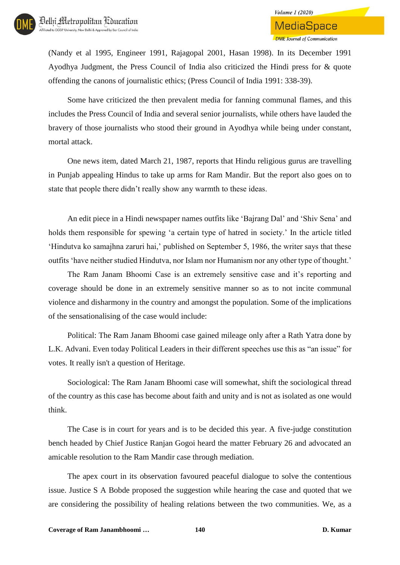

(Nandy et al 1995, Engineer 1991, Rajagopal 2001, Hasan 1998). In its December 1991 Ayodhya Judgment, the Press Council of India also criticized the Hindi press for & quote offending the canons of journalistic ethics; (Press Council of India 1991: 338-39).

Some have criticized the then prevalent media for fanning communal flames, and this includes the Press Council of India and several senior journalists, while others have lauded the bravery of those journalists who stood their ground in Ayodhya while being under constant, mortal attack.

One news item, dated March 21, 1987, reports that Hindu religious gurus are travelling in Punjab appealing Hindus to take up arms for Ram Mandir. But the report also goes on to state that people there didn't really show any warmth to these ideas.

An edit piece in a Hindi newspaper names outfits like 'Bajrang Dal' and 'Shiv Sena' and holds them responsible for spewing 'a certain type of hatred in society.' In the article titled 'Hindutva ko samajhna zaruri hai,' published on September 5, 1986, the writer says that these outfits 'have neither studied Hindutva, nor Islam nor Humanism nor any other type of thought.'

The Ram Janam Bhoomi Case is an extremely sensitive case and it's reporting and coverage should be done in an extremely sensitive manner so as to not incite communal violence and disharmony in the country and amongst the population. Some of the implications of the sensationalising of the case would include:

Political: The Ram Janam Bhoomi case gained mileage only after a Rath Yatra done by L.K. Advani. Even today Political Leaders in their different speeches use this as "an issue" for votes. It really isn't a question of Heritage.

Sociological: The Ram Janam Bhoomi case will somewhat, shift the sociological thread of the country as this case has become about faith and unity and is not as isolated as one would think.

The Case is in court for years and is to be decided this year. A five-judge constitution bench headed by Chief Justice Ranjan Gogoi heard the matter February 26 and advocated an amicable resolution to the Ram Mandir case through mediation.

The apex court in its observation favoured peaceful dialogue to solve the contentious issue. Justice S A Bobde proposed the suggestion while hearing the case and quoted that we are considering the possibility of healing relations between the two communities. We, as a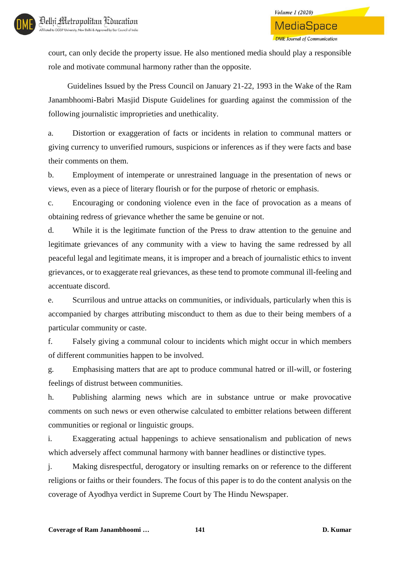court, can only decide the property issue. He also mentioned media should play a responsible role and motivate communal harmony rather than the opposite.

Guidelines Issued by the Press Council on January 21-22, 1993 in the Wake of the Ram Janambhoomi-Babri Masjid Dispute Guidelines for guarding against the commission of the following journalistic improprieties and unethicality.

a. Distortion or exaggeration of facts or incidents in relation to communal matters or giving currency to unverified rumours, suspicions or inferences as if they were facts and base their comments on them.

b. Employment of intemperate or unrestrained language in the presentation of news or views, even as a piece of literary flourish or for the purpose of rhetoric or emphasis.

c. Encouraging or condoning violence even in the face of provocation as a means of obtaining redress of grievance whether the same be genuine or not.

d. While it is the legitimate function of the Press to draw attention to the genuine and legitimate grievances of any community with a view to having the same redressed by all peaceful legal and legitimate means, it is improper and a breach of journalistic ethics to invent grievances, or to exaggerate real grievances, as these tend to promote communal ill-feeling and accentuate discord.

e. Scurrilous and untrue attacks on communities, or individuals, particularly when this is accompanied by charges attributing misconduct to them as due to their being members of a particular community or caste.

f. Falsely giving a communal colour to incidents which might occur in which members of different communities happen to be involved.

g. Emphasising matters that are apt to produce communal hatred or ill-will, or fostering feelings of distrust between communities.

h. Publishing alarming news which are in substance untrue or make provocative comments on such news or even otherwise calculated to embitter relations between different communities or regional or linguistic groups.

i. Exaggerating actual happenings to achieve sensationalism and publication of news which adversely affect communal harmony with banner headlines or distinctive types.

j. Making disrespectful, derogatory or insulting remarks on or reference to the different religions or faiths or their founders. The focus of this paper is to do the content analysis on the coverage of Ayodhya verdict in Supreme Court by The Hindu Newspaper.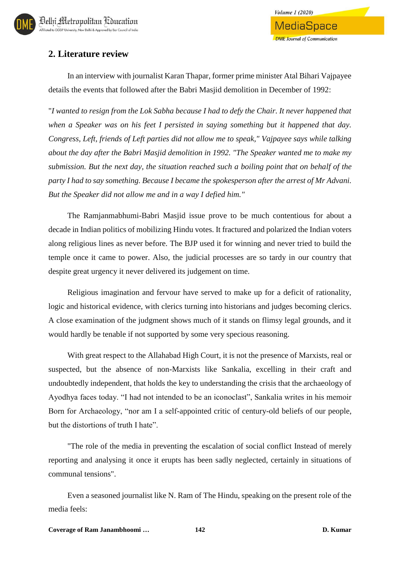

# **2. Literature review**

In an interview with journalist Karan Thapar, former prime minister Atal Bihari Vajpayee details the events that followed after the Babri Masjid demolition in December of 1992:

"*I wanted to resign from the Lok Sabha because I had to defy the Chair. It never happened that when a Speaker was on his feet I persisted in saying something but it happened that day. Congress, Left, friends of Left parties did not allow me to speak," Vajpayee says while talking about the day after the Babri Masjid demolition in 1992. "The Speaker wanted me to make my submission. But the next day, the situation reached such a boiling point that on behalf of the party I had to say something. Because I became the spokesperson after the arrest of Mr Advani. But the Speaker did not allow me and in a way I defied him."*

The Ramjanmabhumi-Babri Masjid issue prove to be much contentious for about a decade in Indian politics of mobilizing Hindu votes. It fractured and polarized the Indian voters along religious lines as never before. The BJP used it for winning and never tried to build the temple once it came to power. Also, the judicial processes are so tardy in our country that despite great urgency it never delivered its judgement on time.

Religious imagination and fervour have served to make up for a deficit of rationality, logic and historical evidence, with clerics turning into historians and judges becoming clerics. A close examination of the judgment shows much of it stands on flimsy legal grounds, and it would hardly be tenable if not supported by some very specious reasoning.

With great respect to the Allahabad High Court, it is not the presence of Marxists, real or suspected, but the absence of non-Marxists like Sankalia, excelling in their craft and undoubtedly independent, that holds the key to understanding the crisis that the archaeology of Ayodhya faces today. "I had not intended to be an iconoclast", Sankalia writes in his memoir Born for Archaeology, "nor am I a self-appointed critic of century-old beliefs of our people, but the distortions of truth I hate".

"The role of the media in preventing the escalation of social conflict Instead of merely reporting and analysing it once it erupts has been sadly neglected, certainly in situations of communal tensions".

Even a seasoned journalist like N. Ram of The Hindu, speaking on the present role of the media feels: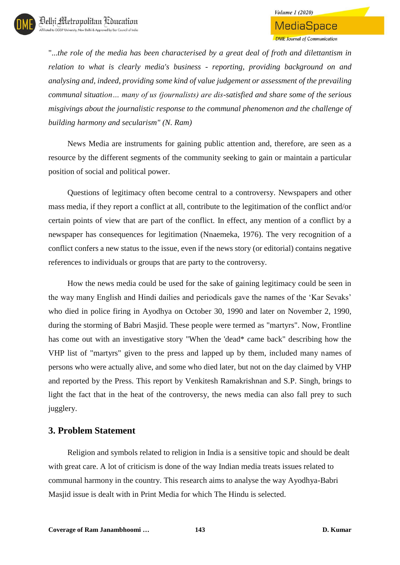"...*the role of the media has been characterised by a great deal of froth and dilettantism in relation to what is clearly media's business - reporting, providing background on and analysing and, indeed, providing some kind of value judgement or assessment of the prevailing communal situation… many of us (journalists) are dis-satisfied and share some of the serious misgivings about the journalistic response to the communal phenomenon and the challenge of building harmony and secularism" (N. Ram)*

News Media are instruments for gaining public attention and, therefore, are seen as a resource by the different segments of the community seeking to gain or maintain a particular position of social and political power.

Questions of legitimacy often become central to a controversy. Newspapers and other mass media, if they report a conflict at all, contribute to the legitimation of the conflict and/or certain points of view that are part of the conflict. In effect, any mention of a conflict by a newspaper has consequences for legitimation (Nnaemeka, 1976). The very recognition of a conflict confers a new status to the issue, even if the news story (or editorial) contains negative references to individuals or groups that are party to the controversy.

How the news media could be used for the sake of gaining legitimacy could be seen in the way many English and Hindi dailies and periodicals gave the names of the 'Kar Sevaks' who died in police firing in Ayodhya on October 30, 1990 and later on November 2, 1990, during the storming of Babri Masjid. These people were termed as "martyrs". Now, Frontline has come out with an investigative story "When the 'dead\* came back" describing how the VHP list of "martyrs" given to the press and lapped up by them, included many names of persons who were actually alive, and some who died later, but not on the day claimed by VHP and reported by the Press. This report by Venkitesh Ramakrishnan and S.P. Singh, brings to light the fact that in the heat of the controversy, the news media can also fall prey to such jugglery.

### **3. Problem Statement**

Religion and symbols related to religion in India is a sensitive topic and should be dealt with great care. A lot of criticism is done of the way Indian media treats issues related to communal harmony in the country. This research aims to analyse the way Ayodhya-Babri Masjid issue is dealt with in Print Media for which The Hindu is selected.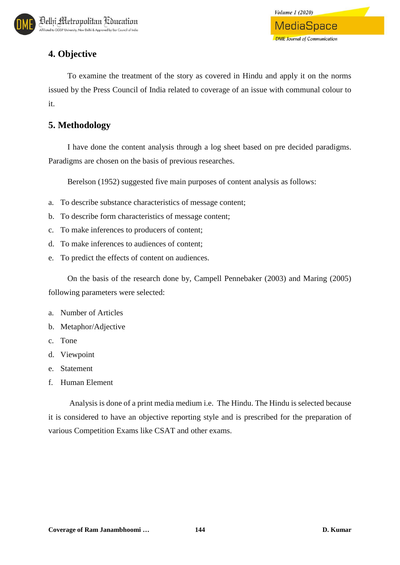# **4. Objective**

To examine the treatment of the story as covered in Hindu and apply it on the norms issued by the Press Council of India related to coverage of an issue with communal colour to it.

# **5. Methodology**

I have done the content analysis through a log sheet based on pre decided paradigms. Paradigms are chosen on the basis of previous researches.

Berelson (1952) suggested five main purposes of content analysis as follows:

- a. To describe substance characteristics of message content;
- b. To describe form characteristics of message content;
- c. To make inferences to producers of content;
- d. To make inferences to audiences of content;
- e. To predict the effects of content on audiences.

On the basis of the research done by, Campell Pennebaker (2003) and Maring (2005) following parameters were selected:

- a. Number of Articles
- b. Metaphor/Adjective
- c. Tone
- d. Viewpoint
- e. Statement
- f. Human Element

Analysis is done of a print media medium i.e. The Hindu. The Hindu is selected because it is considered to have an objective reporting style and is prescribed for the preparation of various Competition Exams like CSAT and other exams.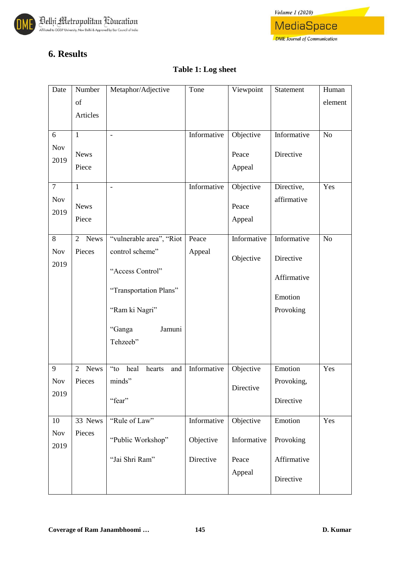



# **6. Results**

### **Table 1: Log sheet**

| Date           | Number                        | Metaphor/Adjective                                 | Tone        | Viewpoint   | Statement   | Human   |
|----------------|-------------------------------|----------------------------------------------------|-------------|-------------|-------------|---------|
|                | of                            |                                                    |             |             |             | element |
|                | Articles                      |                                                    |             |             |             |         |
|                |                               |                                                    |             |             |             |         |
| 6              | $\mathbf{1}$                  | $\blacksquare$                                     | Informative | Objective   | Informative | No      |
| Nov            |                               |                                                    |             |             |             |         |
| 2019           | <b>News</b>                   |                                                    |             | Peace       | Directive   |         |
|                | Piece                         |                                                    |             | Appeal      |             |         |
|                |                               |                                                    |             |             |             |         |
| $\overline{7}$ | $\mathbf{1}$                  | $\overline{\phantom{0}}$                           | Informative | Objective   | Directive,  | Yes     |
| Nov            | <b>News</b>                   |                                                    |             | Peace       | affirmative |         |
| 2019           |                               |                                                    |             |             |             |         |
|                | Piece                         |                                                    |             | Appeal      |             |         |
| 8              | <b>News</b><br>2              | "vulnerable area", "Riot                           | Peace       | Informative | Informative | No      |
| Nov            | Pieces                        | control scheme"                                    | Appeal      |             |             |         |
| 2019           |                               |                                                    |             | Objective   | Directive   |         |
|                |                               | "Access Control"                                   |             |             |             |         |
|                |                               |                                                    |             |             | Affirmative |         |
|                |                               | "Transportation Plans"                             |             |             | Emotion     |         |
|                |                               |                                                    |             |             |             |         |
|                |                               | "Ram ki Nagri"                                     |             |             | Provoking   |         |
|                |                               | Jamuni<br>"Ganga                                   |             |             |             |         |
|                |                               | Tehzeeb"                                           |             |             |             |         |
|                |                               |                                                    |             |             |             |         |
|                |                               |                                                    |             |             |             |         |
| 9              | <b>News</b><br>$\overline{2}$ | $\alpha$ <sup>cc</sup> to<br>heal<br>hearts<br>and | Informative | Objective   | Emotion     | Yes     |
| Nov            | Pieces                        | minds"                                             |             | Directive   | Provoking,  |         |
| 2019           |                               |                                                    |             |             |             |         |
|                |                               | "fear"                                             |             |             | Directive   |         |
| 10             | 33 News                       | "Rule of Law"                                      | Informative | Objective   | Emotion     | Yes     |
|                |                               |                                                    |             |             |             |         |
| Nov            | Pieces                        | "Public Workshop"                                  | Objective   | Informative | Provoking   |         |
| 2019           |                               |                                                    |             |             |             |         |
|                |                               | "Jai Shri Ram"                                     | Directive   | Peace       | Affirmative |         |
|                |                               |                                                    |             | Appeal      |             |         |
|                |                               |                                                    |             |             | Directive   |         |
|                |                               |                                                    |             |             |             |         |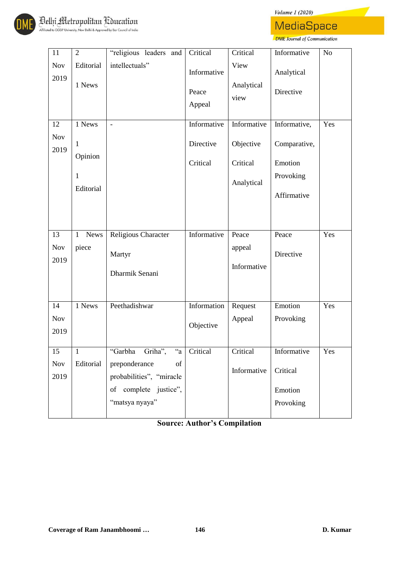*Volume 1 (2020)* 



**MediaSpace** DME Journal of Communication

| $11\,$             | $\overline{2}$              | "religious leaders and                          | Critical                       | Critical                   | Informative             | N <sub>o</sub> |
|--------------------|-----------------------------|-------------------------------------------------|--------------------------------|----------------------------|-------------------------|----------------|
| Nov<br>2019        | Editorial<br>1 News         | intellectuals"                                  | Informative<br>Peace<br>Appeal | View<br>Analytical<br>view | Analytical<br>Directive |                |
| 12                 | 1 News                      | $\overline{a}$                                  | Informative                    | Informative                | Informative,            | Yes            |
| <b>Nov</b><br>2019 | $\mathbf{1}$<br>Opinion     |                                                 | Directive                      | Objective                  | Comparative,            |                |
|                    |                             |                                                 | Critical                       | Critical                   | Emotion                 |                |
|                    | $\mathbf{1}$<br>Editorial   |                                                 |                                | Analytical                 | Provoking               |                |
|                    |                             |                                                 |                                |                            | Affirmative             |                |
|                    |                             |                                                 |                                |                            |                         |                |
| 13                 | <b>News</b><br>$\mathbf{1}$ | Religious Character                             | Informative                    | Peace                      | Peace                   | Yes            |
| <b>Nov</b>         | piece                       | Martyr                                          |                                | appeal                     | Directive               |                |
| 2019               |                             | Dharmik Senani                                  |                                | Informative                |                         |                |
| 14                 | 1 News                      | Peethadishwar                                   | Information                    | Request                    | Emotion                 | Yes            |
| <b>Nov</b>         |                             |                                                 |                                | Appeal                     | Provoking               |                |
| 2019               |                             |                                                 | Objective                      |                            |                         |                |
| 15                 | 1                           | "Garbha<br>Griha",<br>$a^2$                     | Critical                       | Critical                   | Informative             | Yes            |
| Nov<br>2019        | Editorial                   | preponderance<br>of<br>probabilities", "miracle |                                | Informative                | Critical                |                |
|                    |                             | of complete justice",                           |                                |                            | Emotion                 |                |
|                    |                             | "matsya nyaya"                                  |                                |                            | Provoking               |                |

**Source: Author's Compilation**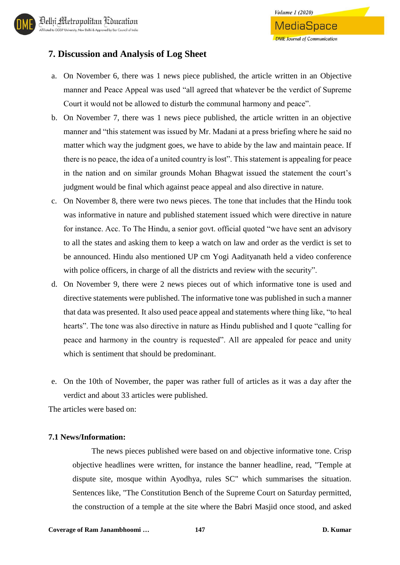### **7. Discussion and Analysis of Log Sheet**

- a. On November 6, there was 1 news piece published, the article written in an Objective manner and Peace Appeal was used "all agreed that whatever be the verdict of Supreme Court it would not be allowed to disturb the communal harmony and peace".
- b. On November 7, there was 1 news piece published, the article written in an objective manner and "this statement was issued by Mr. Madani at a press briefing where he said no matter which way the judgment goes, we have to abide by the law and maintain peace. If there is no peace, the idea of a united country is lost". This statement is appealing for peace in the nation and on similar grounds Mohan Bhagwat issued the statement the court's judgment would be final which against peace appeal and also directive in nature.
- c. On November 8, there were two news pieces. The tone that includes that the Hindu took was informative in nature and published statement issued which were directive in nature for instance. Acc. To The Hindu, a senior govt. official quoted "we have sent an advisory to all the states and asking them to keep a watch on law and order as the verdict is set to be announced. Hindu also mentioned UP cm Yogi Aadityanath held a video conference with police officers, in charge of all the districts and review with the security".
- d. On November 9, there were 2 news pieces out of which informative tone is used and directive statements were published. The informative tone was published in such a manner that data was presented. It also used peace appeal and statements where thing like, "to heal hearts". The tone was also directive in nature as Hindu published and I quote "calling for peace and harmony in the country is requested". All are appealed for peace and unity which is sentiment that should be predominant.
- e. On the 10th of November, the paper was rather full of articles as it was a day after the verdict and about 33 articles were published.

The articles were based on:

#### **7.1 News/Information:**

The news pieces published were based on and objective informative tone. Crisp objective headlines were written, for instance the banner headline, read, "Temple at dispute site, mosque within Ayodhya, rules SC" which summarises the situation. Sentences like, "The Constitution Bench of the Supreme Court on Saturday permitted, the construction of a temple at the site where the Babri Masjid once stood, and asked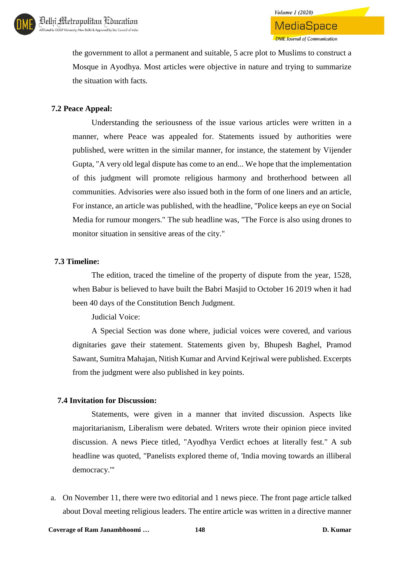

the government to allot a permanent and suitable, 5 acre plot to Muslims to construct a Mosque in Ayodhya. Most articles were objective in nature and trying to summarize the situation with facts.

#### **7.2 Peace Appeal:**

Understanding the seriousness of the issue various articles were written in a manner, where Peace was appealed for. Statements issued by authorities were published, were written in the similar manner, for instance, the statement by Vijender Gupta, "A very old legal dispute has come to an end... We hope that the implementation of this judgment will promote religious harmony and brotherhood between all communities. Advisories were also issued both in the form of one liners and an article, For instance, an article was published, with the headline, "Police keeps an eye on Social Media for rumour mongers." The sub headline was, "The Force is also using drones to monitor situation in sensitive areas of the city."

#### **7.3 Timeline:**

The edition, traced the timeline of the property of dispute from the year, 1528, when Babur is believed to have built the Babri Masjid to October 16 2019 when it had been 40 days of the Constitution Bench Judgment.

Judicial Voice:

A Special Section was done where, judicial voices were covered, and various dignitaries gave their statement. Statements given by, Bhupesh Baghel, Pramod Sawant, Sumitra Mahajan, Nitish Kumar and Arvind Kejriwal were published. Excerpts from the judgment were also published in key points.

#### **7.4 Invitation for Discussion:**

Statements, were given in a manner that invited discussion. Aspects like majoritarianism, Liberalism were debated. Writers wrote their opinion piece invited discussion. A news Piece titled, "Ayodhya Verdict echoes at literally fest." A sub headline was quoted, "Panelists explored theme of, 'India moving towards an illiberal democracy.'"

a. On November 11, there were two editorial and 1 news piece. The front page article talked about Doval meeting religious leaders. The entire article was written in a directive manner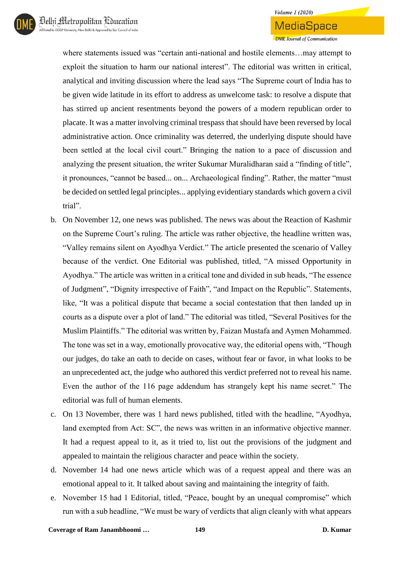### **Volume 1 (2020)** MediaSpace **DME** Journal of Communication

where statements issued was "certain anti-national and hostile elements…may attempt to exploit the situation to harm our national interest". The editorial was written in critical, analytical and inviting discussion where the lead says "The Supreme court of India has to be given wide latitude in its effort to address as unwelcome task: to resolve a dispute that has stirred up ancient resentments beyond the powers of a modern republican order to placate. It was a matter involving criminal trespass that should have been reversed by local administrative action. Once criminality was deterred, the underlying dispute should have been settled at the local civil court." Bringing the nation to a pace of discussion and analyzing the present situation, the writer Sukumar Muralidharan said a "finding of title", it pronounces, "cannot be based... on... Archaeological finding". Rather, the matter "must be decided on settled legal principles... applying evidentiary standards which govern a civil trial".

- b. On November 12, one news was published. The news was about the Reaction of Kashmir on the Supreme Court's ruling. The article was rather objective, the headline written was, "Valley remains silent on Ayodhya Verdict." The article presented the scenario of Valley because of the verdict. One Editorial was published, titled, "A missed Opportunity in Ayodhya." The article was written in a critical tone and divided in sub heads, "The essence of Judgment", "Dignity irrespective of Faith", "and Impact on the Republic". Statements, like, "It was a political dispute that became a social contestation that then landed up in courts as a dispute over a plot of land." The editorial was titled, "Several Positives for the Muslim Plaintiffs." The editorial was written by, Faizan Mustafa and Aymen Mohammed. The tone was set in a way, emotionally provocative way, the editorial opens with, "Though our judges, do take an oath to decide on cases, without fear or favor, in what looks to be an unprecedented act, the judge who authored this verdict preferred not to reveal his name. Even the author of the 116 page addendum has strangely kept his name secret." The editorial was full of human elements.
- c. On 13 November, there was 1 hard news published, titled with the headline, "Ayodhya, land exempted from Act: SC", the news was written in an informative objective manner. It had a request appeal to it, as it tried to, list out the provisions of the judgment and appealed to maintain the religious character and peace within the society.
- d. November 14 had one news article which was of a request appeal and there was an emotional appeal to it. It talked about saving and maintaining the integrity of faith.
- e. November 15 had 1 Editorial, titled, "Peace, bought by an unequal compromise" which run with a sub headline, "We must be wary of verdicts that align cleanly with what appears

**Coverage of Ram Janambhoomi … 149 D. Kumar**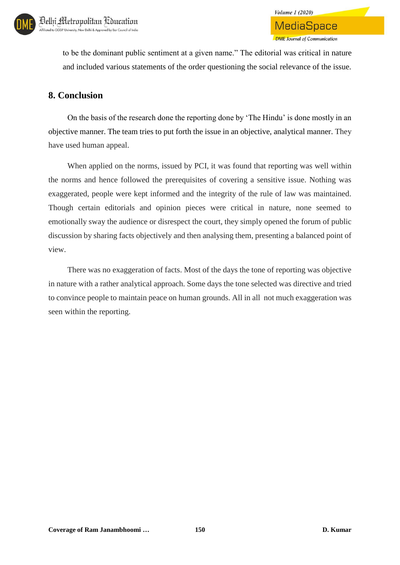

to be the dominant public sentiment at a given name." The editorial was critical in nature and included various statements of the order questioning the social relevance of the issue.

### **8. Conclusion**

On the basis of the research done the reporting done by 'The Hindu' is done mostly in an objective manner. The team tries to put forth the issue in an objective, analytical manner. They have used human appeal.

When applied on the norms, issued by PCI, it was found that reporting was well within the norms and hence followed the prerequisites of covering a sensitive issue. Nothing was exaggerated, people were kept informed and the integrity of the rule of law was maintained. Though certain editorials and opinion pieces were critical in nature, none seemed to emotionally sway the audience or disrespect the court, they simply opened the forum of public discussion by sharing facts objectively and then analysing them, presenting a balanced point of view.

There was no exaggeration of facts. Most of the days the tone of reporting was objective in nature with a rather analytical approach. Some days the tone selected was directive and tried to convince people to maintain peace on human grounds. All in all not much exaggeration was seen within the reporting.